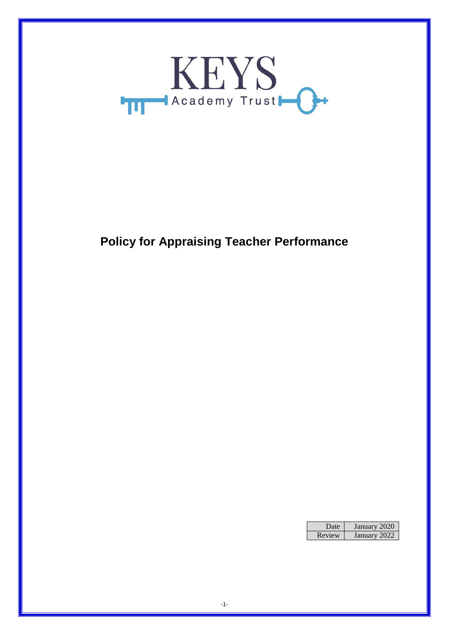

# **Policy for Appraising Teacher Performance**

| Date.  | January 2020 |
|--------|--------------|
| Review | January 2022 |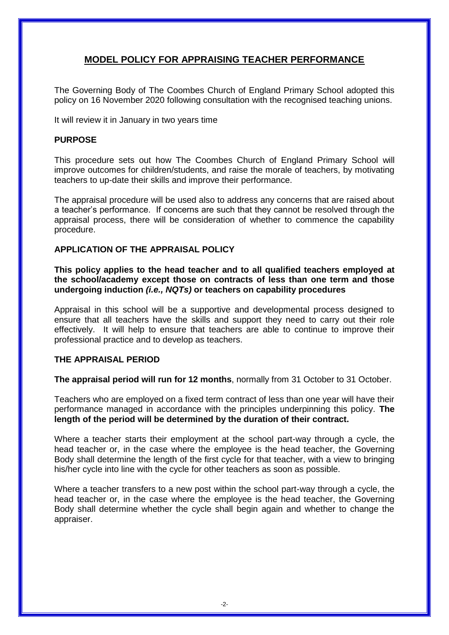## **MODEL POLICY FOR APPRAISING TEACHER PERFORMANCE**

The Governing Body of The Coombes Church of England Primary School adopted this policy on 16 November 2020 following consultation with the recognised teaching unions.

It will review it in January in two years time

## **PURPOSE**

This procedure sets out how The Coombes Church of England Primary School will improve outcomes for children/students, and raise the morale of teachers, by motivating teachers to up-date their skills and improve their performance.

The appraisal procedure will be used also to address any concerns that are raised about a teacher's performance. If concerns are such that they cannot be resolved through the appraisal process, there will be consideration of whether to commence the capability procedure.

## **APPLICATION OF THE APPRAISAL POLICY**

**This policy applies to the head teacher and to all qualified teachers employed at the school/academy except those on contracts of less than one term and those undergoing induction** *(i.e., NQTs)* **or teachers on capability procedures**

Appraisal in this school will be a supportive and developmental process designed to ensure that all teachers have the skills and support they need to carry out their role effectively. It will help to ensure that teachers are able to continue to improve their professional practice and to develop as teachers.

## **THE APPRAISAL PERIOD**

**The appraisal period will run for 12 months**, normally from 31 October to 31 October.

Teachers who are employed on a fixed term contract of less than one year will have their performance managed in accordance with the principles underpinning this policy. **The length of the period will be determined by the duration of their contract.**

Where a teacher starts their employment at the school part-way through a cycle, the head teacher or, in the case where the employee is the head teacher, the Governing Body shall determine the length of the first cycle for that teacher, with a view to bringing his/her cycle into line with the cycle for other teachers as soon as possible.

Where a teacher transfers to a new post within the school part-way through a cycle, the head teacher or, in the case where the employee is the head teacher, the Governing Body shall determine whether the cycle shall begin again and whether to change the appraiser.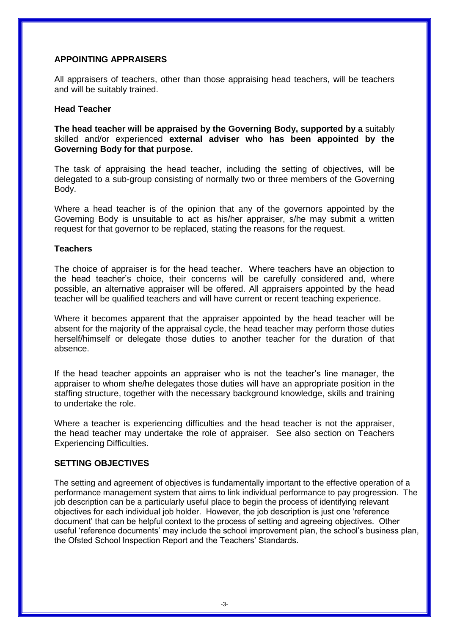#### **APPOINTING APPRAISERS**

All appraisers of teachers, other than those appraising head teachers, will be teachers and will be suitably trained.

#### **Head Teacher**

**The head teacher will be appraised by the Governing Body, supported by a** suitably skilled and/or experienced **external adviser who has been appointed by the Governing Body for that purpose.** 

The task of appraising the head teacher, including the setting of objectives, will be delegated to a sub-group consisting of normally two or three members of the Governing Body.

Where a head teacher is of the opinion that any of the governors appointed by the Governing Body is unsuitable to act as his/her appraiser, s/he may submit a written request for that governor to be replaced, stating the reasons for the request.

#### **Teachers**

The choice of appraiser is for the head teacher. Where teachers have an objection to the head teacher's choice, their concerns will be carefully considered and, where possible, an alternative appraiser will be offered. All appraisers appointed by the head teacher will be qualified teachers and will have current or recent teaching experience.

Where it becomes apparent that the appraiser appointed by the head teacher will be absent for the majority of the appraisal cycle, the head teacher may perform those duties herself/himself or delegate those duties to another teacher for the duration of that absence.

If the head teacher appoints an appraiser who is not the teacher's line manager, the appraiser to whom she/he delegates those duties will have an appropriate position in the staffing structure, together with the necessary background knowledge, skills and training to undertake the role.

Where a teacher is experiencing difficulties and the head teacher is not the appraiser, the head teacher may undertake the role of appraiser. See also section on Teachers Experiencing Difficulties.

## **SETTING OBJECTIVES**

The setting and agreement of objectives is fundamentally important to the effective operation of a performance management system that aims to link individual performance to pay progression. The job description can be a particularly useful place to begin the process of identifying relevant objectives for each individual job holder. However, the job description is just one 'reference document' that can be helpful context to the process of setting and agreeing objectives. Other useful 'reference documents' may include the school improvement plan, the school's business plan, the Ofsted School Inspection Report and the Teachers' Standards.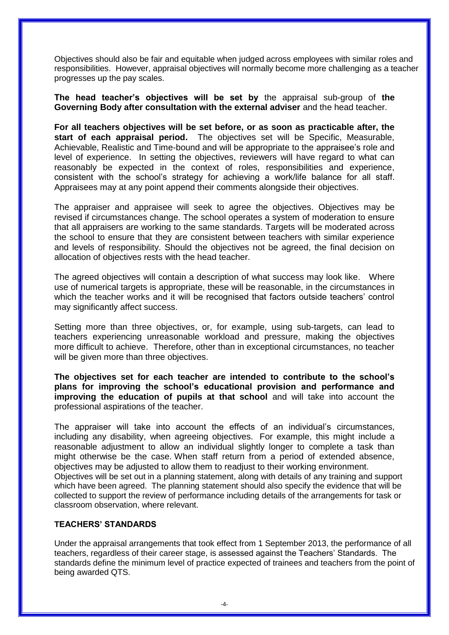Objectives should also be fair and equitable when judged across employees with similar roles and responsibilities. However, appraisal objectives will normally become more challenging as a teacher progresses up the pay scales.

**The head teacher's objectives will be set by** the appraisal sub-group of **the Governing Body after consultation with the external adviser** and the head teacher.

**For all teachers objectives will be set before, or as soon as practicable after, the start of each appraisal period.** The objectives set will be Specific, Measurable, Achievable, Realistic and Time-bound and will be appropriate to the appraisee's role and level of experience. In setting the objectives, reviewers will have regard to what can reasonably be expected in the context of roles, responsibilities and experience, consistent with the school's strategy for achieving a work/life balance for all staff. Appraisees may at any point append their comments alongside their objectives.

The appraiser and appraisee will seek to agree the objectives. Objectives may be revised if circumstances change. The school operates a system of moderation to ensure that all appraisers are working to the same standards. Targets will be moderated across the school to ensure that they are consistent between teachers with similar experience and levels of responsibility. Should the objectives not be agreed, the final decision on allocation of objectives rests with the head teacher.

The agreed objectives will contain a description of what success may look like. Where use of numerical targets is appropriate, these will be reasonable, in the circumstances in which the teacher works and it will be recognised that factors outside teachers' control may significantly affect success.

Setting more than three objectives, or, for example, using sub-targets, can lead to teachers experiencing unreasonable workload and pressure, making the objectives more difficult to achieve. Therefore, other than in exceptional circumstances, no teacher will be given more than three objectives.

**The objectives set for each teacher are intended to contribute to the school's plans for improving the school's educational provision and performance and improving the education of pupils at that school** and will take into account the professional aspirations of the teacher.

The appraiser will take into account the effects of an individual's circumstances, including any disability, when agreeing objectives. For example, this might include a reasonable adjustment to allow an individual slightly longer to complete a task than might otherwise be the case. When staff return from a period of extended absence, objectives may be adjusted to allow them to readjust to their working environment. Objectives will be set out in a planning statement, along with details of any training and support which have been agreed. The planning statement should also specify the evidence that will be collected to support the review of performance including details of the arrangements for task or classroom observation, where relevant.

## **TEACHERS' STANDARDS**

Under the appraisal arrangements that took effect from 1 September 2013, the performance of all teachers, regardless of their career stage, is assessed against the Teachers' Standards. The standards define the minimum level of practice expected of trainees and teachers from the point of being awarded QTS.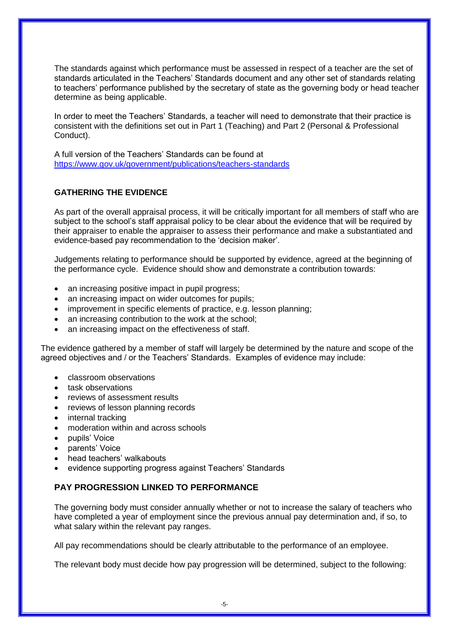The standards against which performance must be assessed in respect of a teacher are the set of standards articulated in the Teachers' Standards document and any other set of standards relating to teachers' performance published by the secretary of state as the governing body or head teacher determine as being applicable.

In order to meet the Teachers' Standards, a teacher will need to demonstrate that their practice is consistent with the definitions set out in Part 1 (Teaching) and Part 2 (Personal & Professional Conduct).

A full version of the Teachers' Standards can be found at <https://www.gov.uk/government/publications/teachers-standards>

## **GATHERING THE EVIDENCE**

As part of the overall appraisal process, it will be critically important for all members of staff who are subject to the school's staff appraisal policy to be clear about the evidence that will be required by their appraiser to enable the appraiser to assess their performance and make a substantiated and evidence-based pay recommendation to the 'decision maker'.

Judgements relating to performance should be supported by evidence, agreed at the beginning of the performance cycle. Evidence should show and demonstrate a contribution towards:

- an increasing positive impact in pupil progress;
- an increasing impact on wider outcomes for pupils;
- improvement in specific elements of practice, e.g. lesson planning;
- an increasing contribution to the work at the school;
- an increasing impact on the effectiveness of staff.

The evidence gathered by a member of staff will largely be determined by the nature and scope of the agreed objectives and / or the Teachers' Standards. Examples of evidence may include:

- classroom observations
- task observations
- reviews of assessment results
- reviews of lesson planning records
- internal tracking
- moderation within and across schools
- pupils' Voice
- parents' Voice
- head teachers' walkabouts
- evidence supporting progress against Teachers' Standards

## **PAY PROGRESSION LINKED TO PERFORMANCE**

The governing body must consider annually whether or not to increase the salary of teachers who have completed a year of employment since the previous annual pay determination and, if so, to what salary within the relevant pay ranges.

All pay recommendations should be clearly attributable to the performance of an employee.

The relevant body must decide how pay progression will be determined, subject to the following: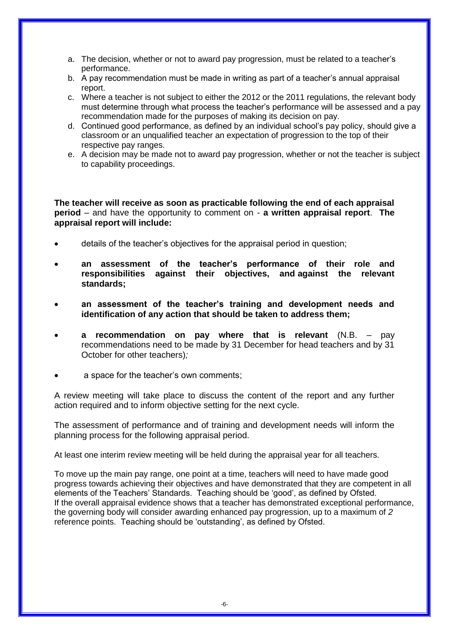a. The decision, whether or not to award pay progression, must be related to a teacher's performance.

- b. A pay recommendation must be made in writing as part of a teacher's annual appraisal report.
- c. Where a teacher is not subject to either the 2012 or the 2011 regulations, the relevant body must determine through what process the teacher's performance will be assessed and a pay recommendation made for the purposes of making its decision on pay.
- d. Continued good performance, as defined by an individual school's pay policy, should give a classroom or an unqualified teacher an expectation of progression to the top of their respective pay ranges.
- e. A decision may be made not to award pay progression, whether or not the teacher is subject to capability proceedings.

**The teacher will receive as soon as practicable following the end of each appraisal period** – and have the opportunity to comment on - **a written appraisal report**. **The appraisal report will include:**

- details of the teacher's objectives for the appraisal period in question;
- **an assessment of the teacher's performance of their role and responsibilities against their objectives, and against the relevant standards;**
- **an assessment of the teacher's training and development needs and identification of any action that should be taken to address them;**
- **a recommendation on pay where that is relevant** (N.B. pay recommendations need to be made by 31 December for head teachers and by 31 October for other teachers)*;*
- a space for the teacher's own comments;

A review meeting will take place to discuss the content of the report and any further action required and to inform objective setting for the next cycle.

The assessment of performance and of training and development needs will inform the planning process for the following appraisal period.

At least one interim review meeting will be held during the appraisal year for all teachers.

To move up the main pay range, one point at a time, teachers will need to have made good progress towards achieving their objectives and have demonstrated that they are competent in all elements of the Teachers' Standards. Teaching should be 'good', as defined by Ofsted. If the overall appraisal evidence shows that a teacher has demonstrated exceptional performance, the governing body will consider awarding enhanced pay progression, up to a maximum of *2*  reference points. Teaching should be 'outstanding', as defined by Ofsted.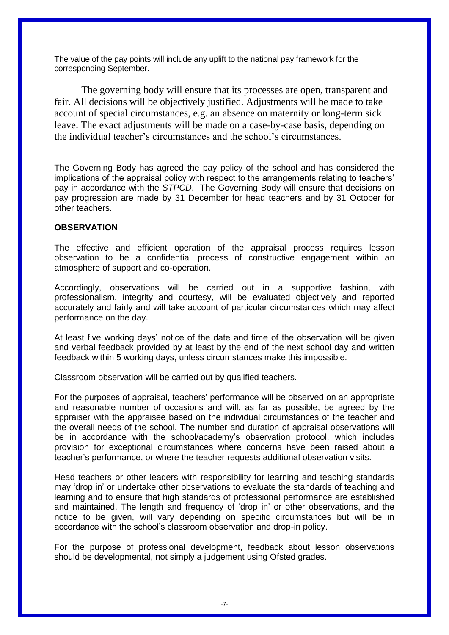The value of the pay points will include any uplift to the national pay framework for the corresponding September.

The governing body will ensure that its processes are open, transparent and fair. All decisions will be objectively justified. Adjustments will be made to take account of special circumstances, e.g. an absence on maternity or long-term sick leave. The exact adjustments will be made on a case-by-case basis, depending on the individual teacher's circumstances and the school's circumstances.

The Governing Body has agreed the pay policy of the school and has considered the implications of the appraisal policy with respect to the arrangements relating to teachers' pay in accordance with the *STPCD*. The Governing Body will ensure that decisions on pay progression are made by 31 December for head teachers and by 31 October for other teachers.

## **OBSERVATION**

The effective and efficient operation of the appraisal process requires lesson observation to be a confidential process of constructive engagement within an atmosphere of support and co-operation.

Accordingly, observations will be carried out in a supportive fashion, with professionalism, integrity and courtesy, will be evaluated objectively and reported accurately and fairly and will take account of particular circumstances which may affect performance on the day.

At least five working days' notice of the date and time of the observation will be given and verbal feedback provided by at least by the end of the next school day and written feedback within 5 working days, unless circumstances make this impossible.

Classroom observation will be carried out by qualified teachers.

For the purposes of appraisal, teachers' performance will be observed on an appropriate and reasonable number of occasions and will, as far as possible, be agreed by the appraiser with the appraisee based on the individual circumstances of the teacher and the overall needs of the school. The number and duration of appraisal observations will be in accordance with the school/academy's observation protocol, which includes provision for exceptional circumstances where concerns have been raised about a teacher's performance, or where the teacher requests additional observation visits.

Head teachers or other leaders with responsibility for learning and teaching standards may 'drop in' or undertake other observations to evaluate the standards of teaching and learning and to ensure that high standards of professional performance are established and maintained. The length and frequency of 'drop in' or other observations, and the notice to be given, will vary depending on specific circumstances but will be in accordance with the school's classroom observation and drop-in policy.

For the purpose of professional development, feedback about lesson observations should be developmental, not simply a judgement using Ofsted grades.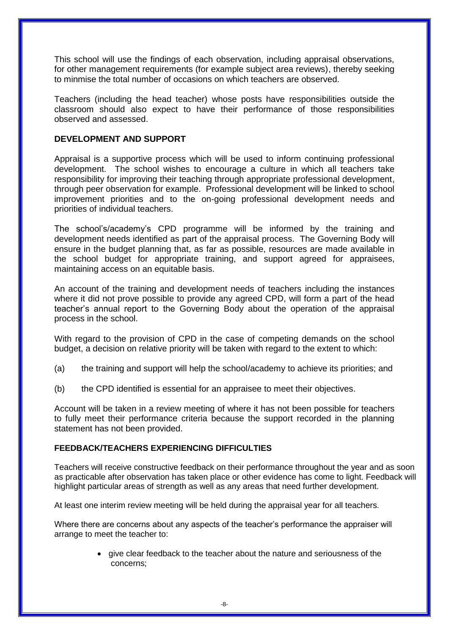This school will use the findings of each observation, including appraisal observations, for other management requirements (for example subject area reviews), thereby seeking to minmise the total number of occasions on which teachers are observed.

Teachers (including the head teacher) whose posts have responsibilities outside the classroom should also expect to have their performance of those responsibilities observed and assessed.

## **DEVELOPMENT AND SUPPORT**

Appraisal is a supportive process which will be used to inform continuing professional development. The school wishes to encourage a culture in which all teachers take responsibility for improving their teaching through appropriate professional development, through peer observation for example. Professional development will be linked to school improvement priorities and to the on-going professional development needs and priorities of individual teachers.

The school's/academy's CPD programme will be informed by the training and development needs identified as part of the appraisal process. The Governing Body will ensure in the budget planning that, as far as possible, resources are made available in the school budget for appropriate training, and support agreed for appraisees, maintaining access on an equitable basis.

An account of the training and development needs of teachers including the instances where it did not prove possible to provide any agreed CPD, will form a part of the head teacher's annual report to the Governing Body about the operation of the appraisal process in the school.

With regard to the provision of CPD in the case of competing demands on the school budget, a decision on relative priority will be taken with regard to the extent to which:

- (a) the training and support will help the school/academy to achieve its priorities; and
- (b) the CPD identified is essential for an appraisee to meet their objectives.

Account will be taken in a review meeting of where it has not been possible for teachers to fully meet their performance criteria because the support recorded in the planning statement has not been provided.

## **FEEDBACK/TEACHERS EXPERIENCING DIFFICULTIES**

Teachers will receive constructive feedback on their performance throughout the year and as soon as practicable after observation has taken place or other evidence has come to light. Feedback will highlight particular areas of strength as well as any areas that need further development.

At least one interim review meeting will be held during the appraisal year for all teachers.

Where there are concerns about any aspects of the teacher's performance the appraiser will arrange to meet the teacher to:

> • give clear feedback to the teacher about the nature and seriousness of the concerns;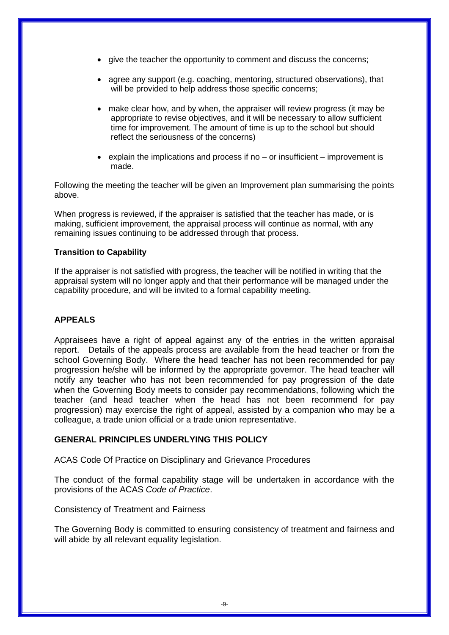- give the teacher the opportunity to comment and discuss the concerns;
- agree any support (e.g. coaching, mentoring, structured observations), that will be provided to help address those specific concerns;
- make clear how, and by when, the appraiser will review progress (it may be appropriate to revise objectives, and it will be necessary to allow sufficient time for improvement. The amount of time is up to the school but should reflect the seriousness of the concerns)
- $\bullet$  explain the implications and process if no or insufficient improvement is made.

Following the meeting the teacher will be given an Improvement plan summarising the points above.

When progress is reviewed, if the appraiser is satisfied that the teacher has made, or is making, sufficient improvement, the appraisal process will continue as normal, with any remaining issues continuing to be addressed through that process.

#### **Transition to Capability**

If the appraiser is not satisfied with progress, the teacher will be notified in writing that the appraisal system will no longer apply and that their performance will be managed under the capability procedure, and will be invited to a formal capability meeting.

## **APPEALS**

Appraisees have a right of appeal against any of the entries in the written appraisal report. Details of the appeals process are available from the head teacher or from the school Governing Body. Where the head teacher has not been recommended for pay progression he/she will be informed by the appropriate governor. The head teacher will notify any teacher who has not been recommended for pay progression of the date when the Governing Body meets to consider pay recommendations, following which the teacher (and head teacher when the head has not been recommend for pay progression) may exercise the right of appeal, assisted by a companion who may be a colleague, a trade union official or a trade union representative.

## **GENERAL PRINCIPLES UNDERLYING THIS POLICY**

ACAS Code Of Practice on Disciplinary and Grievance Procedures

The conduct of the formal capability stage will be undertaken in accordance with the provisions of the ACAS *Code of Practice*.

Consistency of Treatment and Fairness

The Governing Body is committed to ensuring consistency of treatment and fairness and will abide by all relevant equality legislation.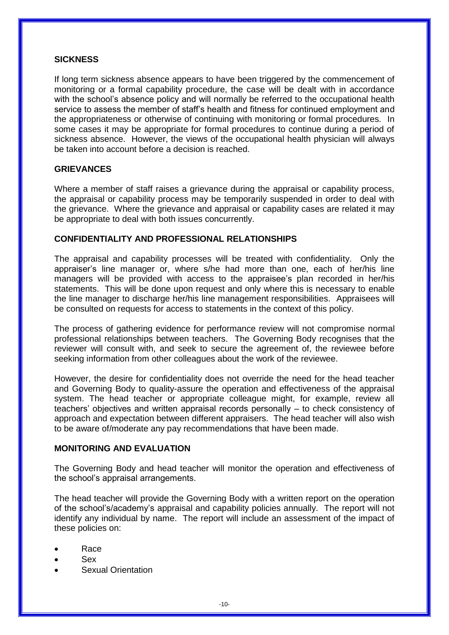#### **SICKNESS**

If long term sickness absence appears to have been triggered by the commencement of monitoring or a formal capability procedure, the case will be dealt with in accordance with the school's absence policy and will normally be referred to the occupational health service to assess the member of staff's health and fitness for continued employment and the appropriateness or otherwise of continuing with monitoring or formal procedures*.* In some cases it may be appropriate for formal procedures to continue during a period of sickness absence. However, the views of the occupational health physician will always be taken into account before a decision is reached.

## **GRIEVANCES**

Where a member of staff raises a grievance during the appraisal or capability process, the appraisal or capability process may be temporarily suspended in order to deal with the grievance. Where the grievance and appraisal or capability cases are related it may be appropriate to deal with both issues concurrently.

## **CONFIDENTIALITY AND PROFESSIONAL RELATIONSHIPS**

The appraisal and capability processes will be treated with confidentiality. Only the appraiser's line manager or, where s/he had more than one, each of her/his line managers will be provided with access to the appraisee's plan recorded in her/his statements. This will be done upon request and only where this is necessary to enable the line manager to discharge her/his line management responsibilities. Appraisees will be consulted on requests for access to statements in the context of this policy.

The process of gathering evidence for performance review will not compromise normal professional relationships between teachers. The Governing Body recognises that the reviewer will consult with, and seek to secure the agreement of, the reviewee before seeking information from other colleagues about the work of the reviewee.

However, the desire for confidentiality does not override the need for the head teacher and Governing Body to quality-assure the operation and effectiveness of the appraisal system. The head teacher or appropriate colleague might, for example, review all teachers' objectives and written appraisal records personally – to check consistency of approach and expectation between different appraisers. The head teacher will also wish to be aware of/moderate any pay recommendations that have been made.

## **MONITORING AND EVALUATION**

The Governing Body and head teacher will monitor the operation and effectiveness of the school's appraisal arrangements.

The head teacher will provide the Governing Body with a written report on the operation of the school's/academy's appraisal and capability policies annually. The report will not identify any individual by name. The report will include an assessment of the impact of these policies on:

- Race
- Sex
- Sexual Orientation